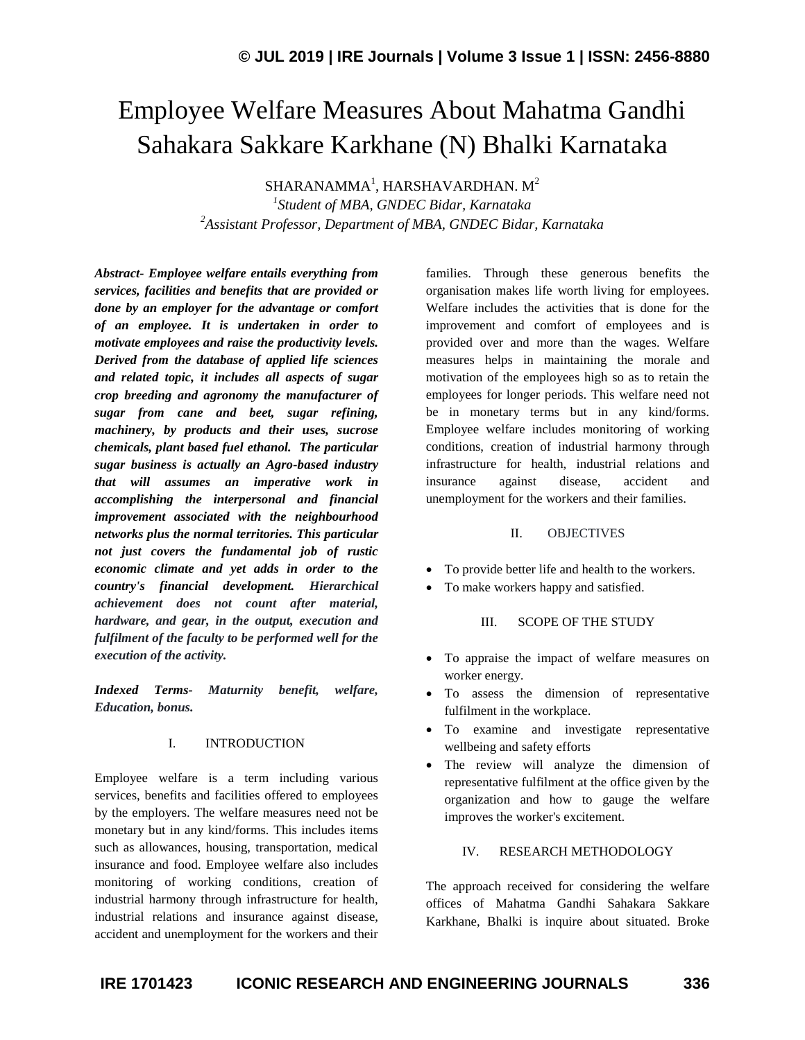# Employee Welfare Measures About Mahatma Gandhi Sahakara Sakkare Karkhane (N) Bhalki Karnataka

 $SHARANAMMA<sup>1</sup>$ , HARSHAVARDHAN. M<sup>2</sup>

*1 Student of MBA, GNDEC Bidar, Karnataka <sup>2</sup>Assistant Professor, Department of MBA, GNDEC Bidar, Karnataka*

*Abstract- Employee welfare entails everything from services, facilities and benefits that are provided or done by an employer for the advantage or comfort of an employee. It is undertaken in order to motivate employees and raise the productivity levels. Derived from the database of applied life sciences and related topic, it includes all aspects of sugar crop breeding and agronomy the manufacturer of sugar from cane and beet, sugar refining, machinery, by products and their uses, sucrose chemicals, plant based fuel ethanol. The particular sugar business is actually an Agro-based industry that will assumes an imperative work in accomplishing the interpersonal and financial improvement associated with the neighbourhood networks plus the normal territories. This particular not just covers the fundamental job of rustic economic climate and yet adds in order to the country's financial development. Hierarchical achievement does not count after material, hardware, and gear, in the output, execution and fulfilment of the faculty to be performed well for the execution of the activity.*

*Indexed Terms- Maturnity benefit, welfare, Education, bonus.*

#### I. INTRODUCTION

Employee welfare is a term including various services, benefits and facilities offered to employees by the employers. The welfare measures need not be monetary but in any kind/forms. This includes items such as allowances, housing, transportation, medical insurance and food. Employee welfare also includes monitoring of working conditions, creation of industrial harmony through infrastructure for health, industrial relations and insurance against disease, accident and unemployment for the workers and their families. Through these generous benefits the organisation makes life worth living for employees. Welfare includes the activities that is done for the improvement and comfort of employees and is provided over and more than the wages. Welfare measures helps in maintaining the morale and motivation of the employees high so as to retain the employees for longer periods. This welfare need not be in monetary terms but in any kind/forms. Employee welfare includes monitoring of working conditions, creation of industrial harmony through infrastructure for health, industrial relations and insurance against disease, accident and unemployment for the workers and their families.

### II. OBJECTIVES

- To provide better life and health to the workers.
- To make workers happy and satisfied.

## III. SCOPE OF THE STUDY

- To appraise the impact of welfare measures on worker energy.
- To assess the dimension of representative fulfilment in the workplace.
- To examine and investigate representative wellbeing and safety efforts
- The review will analyze the dimension of representative fulfilment at the office given by the organization and how to gauge the welfare improves the worker's excitement.

#### IV. RESEARCH METHODOLOGY

The approach received for considering the welfare offices of Mahatma Gandhi Sahakara Sakkare Karkhane, Bhalki is inquire about situated. Broke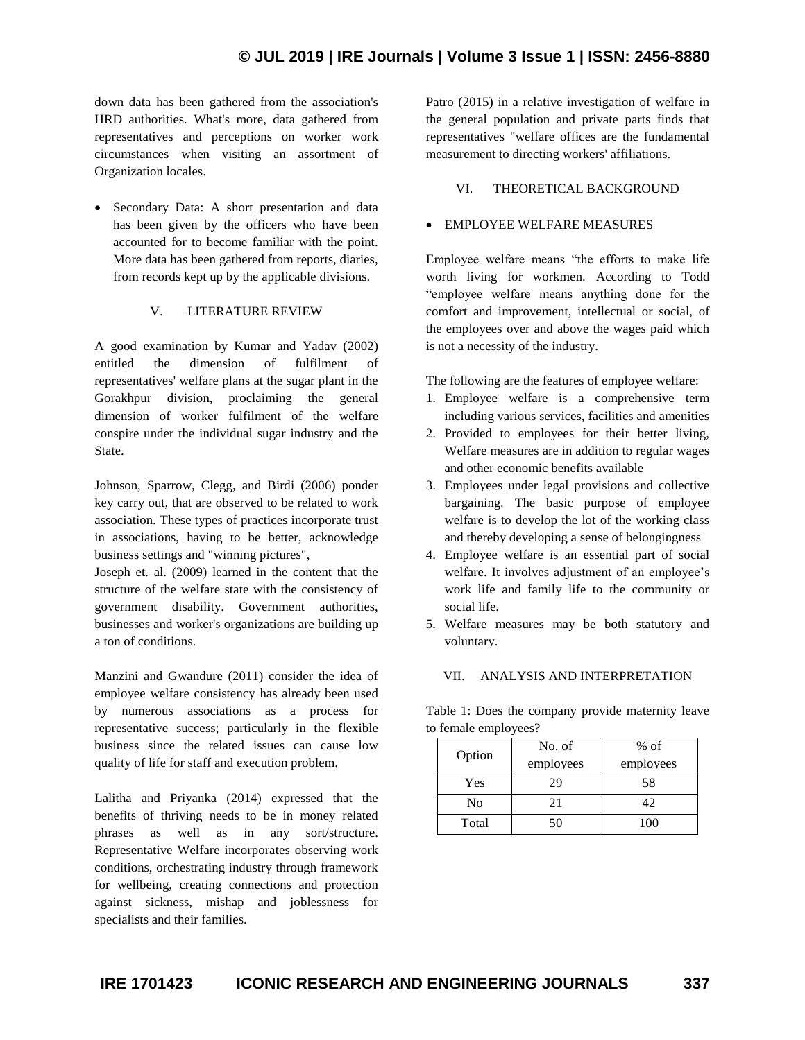down data has been gathered from the association's HRD authorities. What's more, data gathered from representatives and perceptions on worker work circumstances when visiting an assortment of Organization locales.

• Secondary Data: A short presentation and data has been given by the officers who have been accounted for to become familiar with the point. More data has been gathered from reports, diaries, from records kept up by the applicable divisions.

### V. LITERATURE REVIEW

A good examination by Kumar and Yadav (2002) entitled the dimension of fulfilment of representatives' welfare plans at the sugar plant in the Gorakhpur division, proclaiming the general dimension of worker fulfilment of the welfare conspire under the individual sugar industry and the State.

Johnson, Sparrow, Clegg, and Birdi (2006) ponder key carry out, that are observed to be related to work association. These types of practices incorporate trust in associations, having to be better, acknowledge business settings and "winning pictures",

Joseph et. al. (2009) learned in the content that the structure of the welfare state with the consistency of government disability. Government authorities, businesses and worker's organizations are building up a ton of conditions.

Manzini and Gwandure (2011) consider the idea of employee welfare consistency has already been used by numerous associations as a process for representative success; particularly in the flexible business since the related issues can cause low quality of life for staff and execution problem.

Lalitha and Priyanka (2014) expressed that the benefits of thriving needs to be in money related phrases as well as in any sort/structure. Representative Welfare incorporates observing work conditions, orchestrating industry through framework for wellbeing, creating connections and protection against sickness, mishap and joblessness for specialists and their families.

Patro (2015) in a relative investigation of welfare in the general population and private parts finds that representatives "welfare offices are the fundamental measurement to directing workers' affiliations.

## VI. THEORETICAL BACKGROUND

## EMPLOYEE WELFARE MEASURES

Employee welfare means "the efforts to make life worth living for workmen. According to Todd "employee welfare means anything done for the comfort and improvement, intellectual or social, of the employees over and above the wages paid which is not a necessity of the industry.

The following are the features of employee welfare:

- 1. Employee welfare is a comprehensive term including various services, facilities and amenities
- 2. Provided to employees for their better living, Welfare measures are in addition to regular wages and other economic benefits available
- 3. Employees under legal provisions and collective bargaining. The basic purpose of employee welfare is to develop the lot of the working class and thereby developing a sense of belongingness
- 4. Employee welfare is an essential part of social welfare. It involves adjustment of an employee's work life and family life to the community or social life.
- 5. Welfare measures may be both statutory and voluntary.

### VII. ANALYSIS AND INTERPRETATION

Table 1: Does the company provide maternity leave to female employees?

| Option         | No. of<br>employees | $%$ of<br>employees |
|----------------|---------------------|---------------------|
| Yes            | 29                  | 58                  |
| N <sub>0</sub> | 21                  | 42                  |
| Total          | 50                  | 100                 |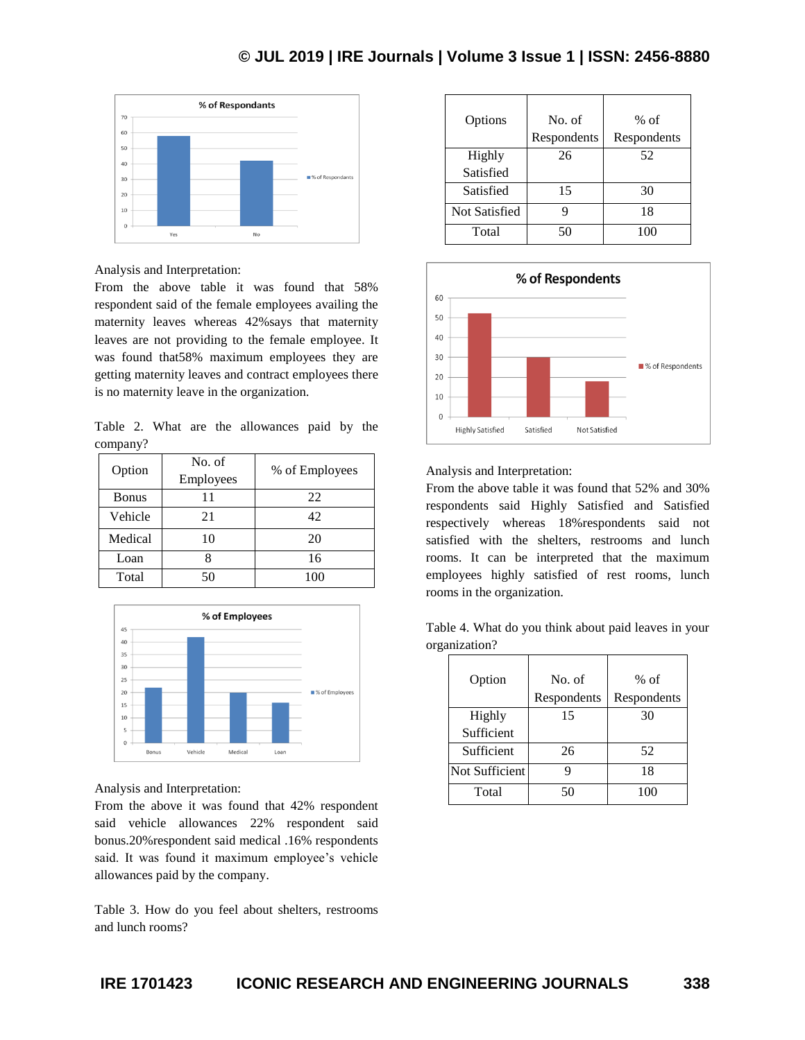## **© JUL 2019 | IRE Journals | Volume 3 Issue 1 | ISSN: 2456-8880**



Analysis and Interpretation:

From the above table it was found that 58% respondent said of the female employees availing the maternity leaves whereas 42%says that maternity leaves are not providing to the female employee. It was found that58% maximum employees they are getting maternity leaves and contract employees there is no maternity leave in the organization.

Table 2. What are the allowances paid by the company?

| Option       | No. of<br>Employees | % of Employees |
|--------------|---------------------|----------------|
| <b>Bonus</b> | 11                  | 22             |
| Vehicle      | 21                  | 42             |
| Medical      | 10                  | 20             |
| Loan         |                     | 16             |
| Total        |                     |                |



Analysis and Interpretation:

From the above it was found that 42% respondent said vehicle allowances 22% respondent said bonus.20%respondent said medical .16% respondents said. It was found it maximum employee's vehicle allowances paid by the company.

Table 3. How do you feel about shelters, restrooms and lunch rooms?

| Options              | No. of<br>Respondents | $%$ of<br>Respondents |
|----------------------|-----------------------|-----------------------|
| Highly               | 26                    | 52                    |
| Satisfied            |                       |                       |
| Satisfied            | 15                    | 30                    |
| <b>Not Satisfied</b> | q                     | 18                    |
| Total                | 50                    | 100                   |



#### Analysis and Interpretation:

From the above table it was found that 52% and 30% respondents said Highly Satisfied and Satisfied respectively whereas 18%respondents said not satisfied with the shelters, restrooms and lunch rooms. It can be interpreted that the maximum employees highly satisfied of rest rooms, lunch rooms in the organization.

Table 4. What do you think about paid leaves in your organization?

| Option         | No. of<br>Respondents | $%$ of<br>Respondents |
|----------------|-----------------------|-----------------------|
| Highly         | 15                    | 30                    |
| Sufficient     |                       |                       |
| Sufficient     | 26                    | 52                    |
| Not Sufficient |                       | 18                    |
| Total          | 50                    | 100                   |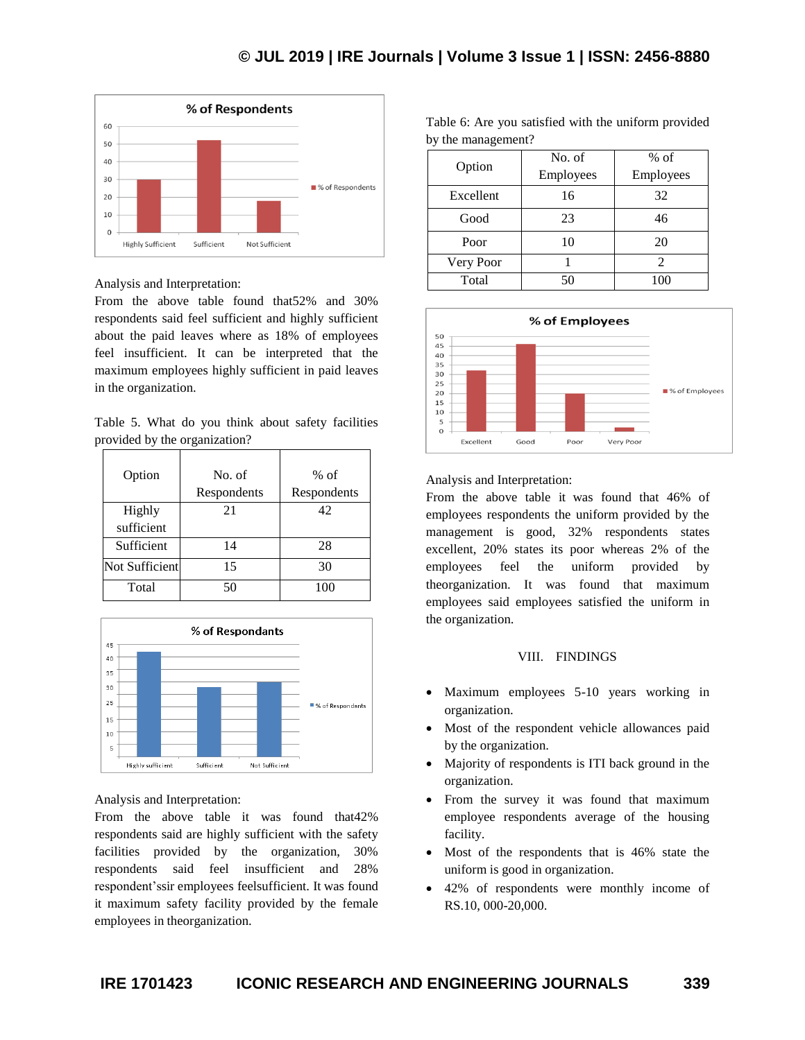

Analysis and Interpretation:

From the above table found that52% and 30% respondents said feel sufficient and highly sufficient about the paid leaves where as 18% of employees feel insufficient. It can be interpreted that the maximum employees highly sufficient in paid leaves in the organization.

Table 5. What do you think about safety facilities provided by the organization?

| Option         | No. of      | $%$ of      |
|----------------|-------------|-------------|
|                | Respondents | Respondents |
| Highly         | 21          | 42          |
| sufficient     |             |             |
| Sufficient     | 14          | 28          |
| Not Sufficient | 15          | 30          |
| Total          | 50          | 100         |



Analysis and Interpretation:

From the above table it was found that42% respondents said are highly sufficient with the safety facilities provided by the organization, 30% respondents said feel insufficient and 28% respondent'ssir employees feelsufficient. It was found it maximum safety facility provided by the female employees in theorganization.

| by the management? |           |                |
|--------------------|-----------|----------------|
| Option             | No. of    | $%$ of         |
|                    | Employees | Employees      |
| Excellent          | 16        | 32             |
| Good               | 23        | 46             |
| Poor               | 10        | 20             |
| Very Poor          |           | $\mathfrak{D}$ |
| Total              | 50        | 100            |

Table 6: Are you satisfied with the uniform provided



Analysis and Interpretation:

From the above table it was found that 46% of employees respondents the uniform provided by the management is good, 32% respondents states excellent, 20% states its poor whereas 2% of the employees feel the uniform provided by theorganization. It was found that maximum employees said employees satisfied the uniform in the organization.

#### VIII. FINDINGS

- Maximum employees 5-10 years working in organization.
- Most of the respondent vehicle allowances paid by the organization.
- Majority of respondents is ITI back ground in the organization.
- From the survey it was found that maximum employee respondents average of the housing facility.
- Most of the respondents that is 46% state the uniform is good in organization.
- 42% of respondents were monthly income of RS.10, 000-20,000.